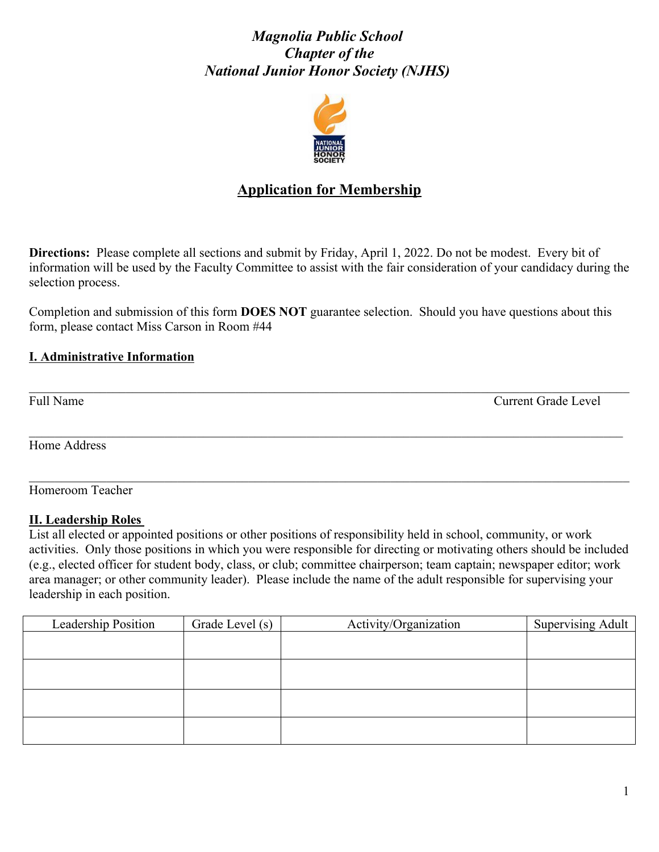# *Magnolia Public School Chapter of the National Junior Honor Society (NJHS)*



# **Application for Membership**

**Directions:** Please complete all sections and submit by Friday, April 1, 2022. Do not be modest. Every bit of information will be used by the Faculty Committee to assist with the fair consideration of your candidacy during the selection process.

Completion and submission of this form **DOES NOT** guarantee selection. Should you have questions about this form, please contact Miss Carson in Room #44

 $\mathcal{L}_\mathcal{L} = \mathcal{L}_\mathcal{L} = \mathcal{L}_\mathcal{L} = \mathcal{L}_\mathcal{L} = \mathcal{L}_\mathcal{L} = \mathcal{L}_\mathcal{L} = \mathcal{L}_\mathcal{L} = \mathcal{L}_\mathcal{L} = \mathcal{L}_\mathcal{L} = \mathcal{L}_\mathcal{L} = \mathcal{L}_\mathcal{L} = \mathcal{L}_\mathcal{L} = \mathcal{L}_\mathcal{L} = \mathcal{L}_\mathcal{L} = \mathcal{L}_\mathcal{L} = \mathcal{L}_\mathcal{L} = \mathcal{L}_\mathcal{L}$ 

 $\mathcal{L}_\mathcal{L} = \mathcal{L}_\mathcal{L} = \mathcal{L}_\mathcal{L} = \mathcal{L}_\mathcal{L} = \mathcal{L}_\mathcal{L} = \mathcal{L}_\mathcal{L} = \mathcal{L}_\mathcal{L} = \mathcal{L}_\mathcal{L} = \mathcal{L}_\mathcal{L} = \mathcal{L}_\mathcal{L} = \mathcal{L}_\mathcal{L} = \mathcal{L}_\mathcal{L} = \mathcal{L}_\mathcal{L} = \mathcal{L}_\mathcal{L} = \mathcal{L}_\mathcal{L} = \mathcal{L}_\mathcal{L} = \mathcal{L}_\mathcal{L}$ 

## **I. Administrative Information**

Full Name Current Grade Level  $\Box$ 

Home Address

Homeroom Teacher

### **II. Leadership Roles**

List all elected or appointed positions or other positions of responsibility held in school, community, or work activities. Only those positions in which you were responsible for directing or motivating others should be included (e.g., elected officer for student body, class, or club; committee chairperson; team captain; newspaper editor; work area manager; or other community leader). Please include the name of the adult responsible for supervising your leadership in each position.

| Leadership Position | Grade Level (s) | Activity/Organization | Supervising Adult |
|---------------------|-----------------|-----------------------|-------------------|
|                     |                 |                       |                   |
|                     |                 |                       |                   |
|                     |                 |                       |                   |
|                     |                 |                       |                   |
|                     |                 |                       |                   |
|                     |                 |                       |                   |
|                     |                 |                       |                   |
|                     |                 |                       |                   |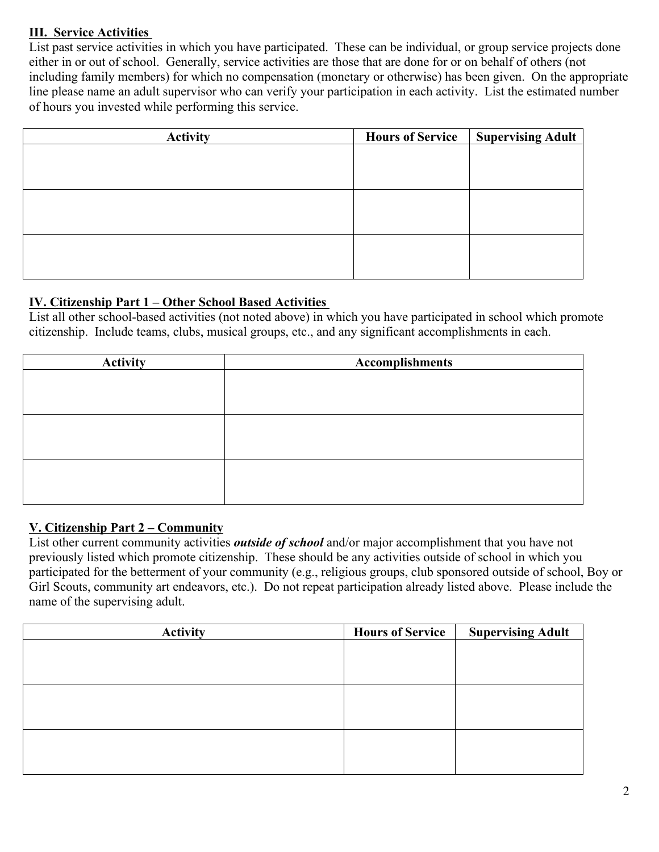# **III. Service Activities**

List past service activities in which you have participated. These can be individual, or group service projects done either in or out of school. Generally, service activities are those that are done for or on behalf of others (not including family members) for which no compensation (monetary or otherwise) has been given. On the appropriate line please name an adult supervisor who can verify your participation in each activity. List the estimated number of hours you invested while performing this service.

| <b>Activity</b> | <b>Hours of Service</b> | <b>Supervising Adult</b> |
|-----------------|-------------------------|--------------------------|
|                 |                         |                          |
|                 |                         |                          |
|                 |                         |                          |
|                 |                         |                          |
|                 |                         |                          |
|                 |                         |                          |
|                 |                         |                          |
|                 |                         |                          |

## **IV. Citizenship Part 1 – Other School Based Activities**

List all other school-based activities (not noted above) in which you have participated in school which promote citizenship. Include teams, clubs, musical groups, etc., and any significant accomplishments in each.

| <b>Activity</b> | <b>Accomplishments</b> |
|-----------------|------------------------|
|                 |                        |
|                 |                        |
|                 |                        |
|                 |                        |
|                 |                        |
|                 |                        |
|                 |                        |
|                 |                        |
|                 |                        |

### **V. Citizenship Part 2 – Community**

List other current community activities *outside of school* and/or major accomplishment that you have not previously listed which promote citizenship. These should be any activities outside of school in which you participated for the betterment of your community (e.g., religious groups, club sponsored outside of school, Boy or Girl Scouts, community art endeavors, etc.). Do not repeat participation already listed above. Please include the name of the supervising adult.

| <b>Activity</b> | <b>Hours of Service</b> | <b>Supervising Adult</b> |
|-----------------|-------------------------|--------------------------|
|                 |                         |                          |
|                 |                         |                          |
|                 |                         |                          |
|                 |                         |                          |
|                 |                         |                          |
|                 |                         |                          |
|                 |                         |                          |
|                 |                         |                          |
|                 |                         |                          |